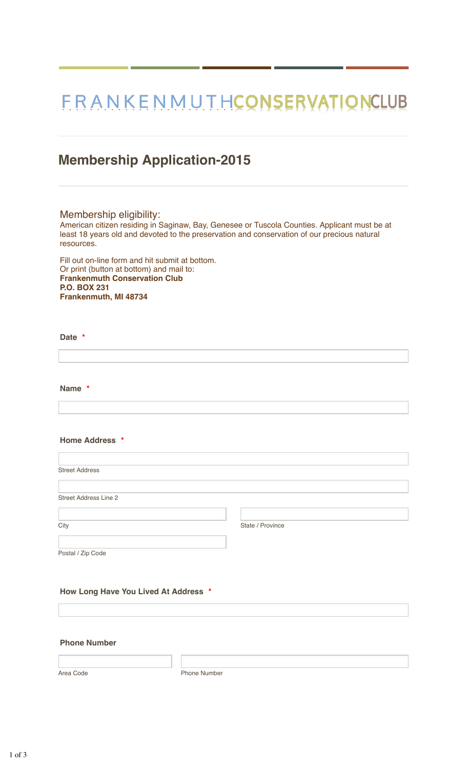# FRANKENMUTHCONSERVATIONCLUB

### **Membership Application-2015**

#### Membership eligibility:

American citizen residing in Saginaw, Bay, Genesee or Tuscola Counties. Applicant must be at least 18 years old and devoted to the preservation and conservation of our precious natural resources.

Fill out on-line form and hit submit at bottom. Or print (button at bottom) and mail to: **Frankenmuth Conservation Club P.O. BOX 231 Frankenmuth, MI 48734**

#### **Date \***

**Name \***

#### **Home Address \***

| <b>Street Address</b>        |                  |
|------------------------------|------------------|
|                              |                  |
| <b>Street Address Line 2</b> |                  |
|                              |                  |
| City                         | State / Province |
|                              |                  |

Postal / Zip Code

#### **How Long Have You Lived At Address \***

#### **Phone Number**

Area Code **Phone Number**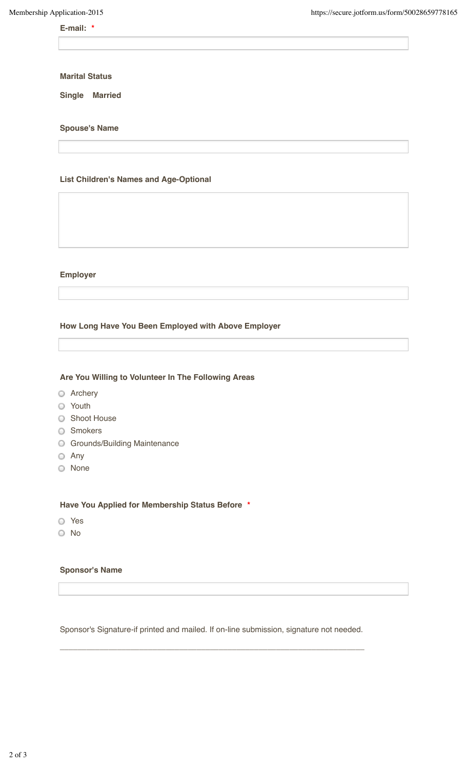## **E-mail: \***

**Marital Status**

**Single Married**

#### **Spouse's Name**

#### **List Children's Names and Age-Optional**

#### **Employer**

#### **How Long Have You Been Employed with Above Employer**

### **Are You Willing to Volunteer In The Following Areas**

- **O** Archery
- **O** Youth
- **O** Shoot House
- **O** Smokers
- **G** Grounds/Building Maintenance
- Any
- None

#### **Have You Applied for Membership Status Before \***

- Yes
- No

#### **Sponsor's Name**

Sponsor's Signature-if printed and mailed. If on-line submission, signature not needed.

 $\_$  ,  $\_$  ,  $\_$  ,  $\_$  ,  $\_$  ,  $\_$  ,  $\_$  ,  $\_$  ,  $\_$  ,  $\_$  ,  $\_$  ,  $\_$  ,  $\_$  ,  $\_$  ,  $\_$  ,  $\_$  ,  $\_$  ,  $\_$  ,  $\_$  ,  $\_$